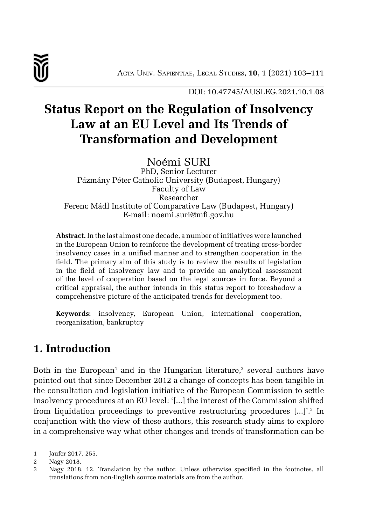

DOI: 10.47745/AUSLEG.2021.10.1.08

# **Status Report on the Regulation of Insolvency Law at an EU Level and Its Trends of Transformation and Development**

Noémi SURI

PhD, Senior Lecturer Pázmány Péter Catholic University (Budapest, Hungary) Faculty of Law Researcher Ferenc Mádl Institute of Comparative Law (Budapest, Hungary) E-mail: noemi.suri@mfi.gov.hu

**Abstract.** In the last almost one decade, a number of initiatives were launched in the European Union to reinforce the development of treating cross-border insolvency cases in a unified manner and to strengthen cooperation in the field. The primary aim of this study is to review the results of legislation in the field of insolvency law and to provide an analytical assessment of the level of cooperation based on the legal sources in force. Beyond a critical appraisal, the author intends in this status report to foreshadow a comprehensive picture of the anticipated trends for development too.

**Keywords:** insolvency, European Union, international cooperation, reorganization, bankruptcy

## **1. Introduction**

Both in the European<sup>1</sup> and in the Hungarian literature,<sup>2</sup> several authors have pointed out that since December 2012 a change of concepts has been tangible in the consultation and legislation initiative of the European Commission to settle insolvency procedures at an EU level: '[...] the interest of the Commission shifted from liquidation proceedings to preventive restructuring procedures [...]'.<sup>3</sup> In conjunction with the view of these authors, this research study aims to explore in a comprehensive way what other changes and trends of transformation can be

<sup>1</sup> Jaufer 2017. 255.

<sup>2</sup> Nagy 2018.

<sup>3</sup> Nagy 2018. 12. Translation by the author. Unless otherwise specified in the footnotes, all translations from non-English source materials are from the author.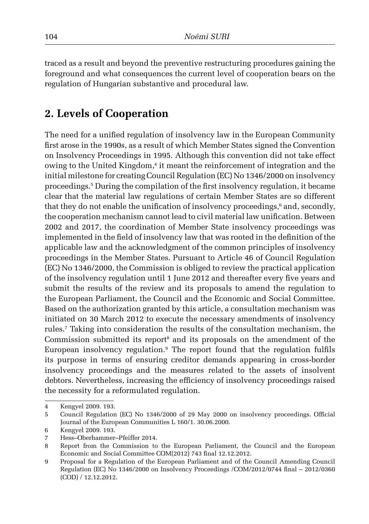traced as a result and beyond the preventive restructuring procedures gaining the foreground and what consequences the current level of cooperation bears on the regulation of Hungarian substantive and procedural law.

#### **2. Levels of Cooperation**

The need for a unified regulation of insolvency law in the European Community first arose in the 1990s, as a result of which Member States signed the Convention on Insolvency Proceedings in 1995. Although this convention did not take effect owing to the United Kingdom,<sup>4</sup> it meant the reinforcement of integration and the initial milestone for creating Council Regulation (EC) No 1346/2000 on insolvency proceedings. 5 During the compilation of the first insolvency regulation, it became clear that the material law regulations of certain Member States are so different that they do not enable the unification of insolvency proceedings,<sup>6</sup> and, secondly, the cooperation mechanism cannot lead to civil material law unification. Between 2002 and 2017, the coordination of Member State insolvency proceedings was implemented in the field of insolvency law that was rooted in the definition of the applicable law and the acknowledgment of the common principles of insolvency proceedings in the Member States. Pursuant to Article 46 of Council Regulation (EC) No 1346/2000, the Commission is obliged to review the practical application of the insolvency regulation until 1 June 2012 and thereafter every five years and submit the results of the review and its proposals to amend the regulation to the European Parliament, the Council and the Economic and Social Committee. Based on the authorization granted by this article, a consultation mechanism was initiated on 30 March 2012 to execute the necessary amendments of insolvency rules. 7 Taking into consideration the results of the consultation mechanism, the Commission submitted its report<sup>8</sup> and its proposals on the amendment of the European insolvency regulation. 9 The report found that the regulation fulfils its purpose in terms of ensuring creditor demands appearing in cross-border insolvency proceedings and the measures related to the assets of insolvent debtors. Nevertheless, increasing the efficiency of insolvency proceedings raised the necessity for a reformulated regulation.

<sup>4</sup> Kengyel 2009. 193.

<sup>5</sup> Council Regulation (EC) No 1346/2000 of 29 May 2000 on insolvency proceedings. Official Journal of the European Communities L 160/1. 30.06.2000.

<sup>6</sup> Kengyel 2009. 193.

<sup>7</sup> Hess–Oberhammer–Pfeiffer 2014.

<sup>8</sup> Report from the Commission to the European Parliament, the Council and the European Economic and Social Committee COM(2012) 743 final 12.12.2012.

<sup>9</sup> Proposal for a Regulation of the European Parliament and of the Council Amending Council Regulation (EC) No 1346/2000 on Insolvency Proceedings /COM/2012/0744 final – 2012/0360 (COD) / 12.12.2012.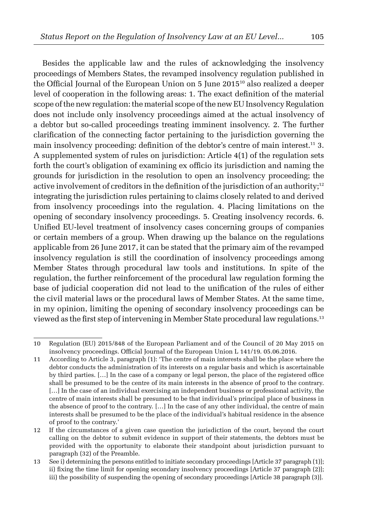Besides the applicable law and the rules of acknowledging the insolvency proceedings of Members States, the revamped insolvency regulation published in the Official Journal of the European Union on 5 June 201510 also realized a deeper level of cooperation in the following areas: 1. The exact definition of the material scope of the new regulation: the material scope of the new EU Insolvency Regulation does not include only insolvency proceedings aimed at the actual insolvency of a debtor but so-called proceedings treating imminent insolvency. 2. The further clarification of the connecting factor pertaining to the jurisdiction governing the main insolvency proceeding: definition of the debtor's centre of main interest.<sup>11</sup> 3. A supplemented system of rules on jurisdiction: Article 4(1) of the regulation sets forth the court's obligation of examining ex officio its jurisdiction and naming the grounds for jurisdiction in the resolution to open an insolvency proceeding; the active involvement of creditors in the definition of the jurisdiction of an authority;<sup>12</sup> integrating the jurisdiction rules pertaining to claims closely related to and derived from insolvency proceedings into the regulation. 4. Placing limitations on the opening of secondary insolvency proceedings. 5. Creating insolvency records. 6. Unified EU-level treatment of insolvency cases concerning groups of companies or certain members of a group. When drawing up the balance on the regulations applicable from 26 June 2017, it can be stated that the primary aim of the revamped insolvency regulation is still the coordination of insolvency proceedings among Member States through procedural law tools and institutions. In spite of the regulation, the further reinforcement of the procedural law regulation forming the base of judicial cooperation did not lead to the unification of the rules of either the civil material laws or the procedural laws of Member States. At the same time, in my opinion, limiting the opening of secondary insolvency proceedings can be viewed as the first step of intervening in Member State procedural law regulations.<sup>13</sup>

<sup>10</sup> Regulation (EU) 2015/848 of the European Parliament and of the Council of 20 May 2015 on insolvency proceedings. Official Journal of the European Union L 141/19. 05.06.2016.

<sup>11</sup> According to Article 3, paragraph (1): 'The centre of main interests shall be the place where the debtor conducts the administration of its interests on a regular basis and which is ascertainable by third parties. […] In the case of a company or legal person, the place of the registered office shall be presumed to be the centre of its main interests in the absence of proof to the contrary. […] In the case of an individual exercising an independent business or professional activity, the centre of main interests shall be presumed to be that individual's principal place of business in the absence of proof to the contrary. […] In the case of any other individual, the centre of main interests shall be presumed to be the place of the individual's habitual residence in the absence of proof to the contrary.'

<sup>12</sup> If the circumstances of a given case question the jurisdiction of the court, beyond the court calling on the debtor to submit evidence in support of their statements, the debtors must be provided with the opportunity to elaborate their standpoint about jurisdiction pursuant to paragraph (32) of the Preamble.

<sup>13</sup> See i) determining the persons entitled to initiate secondary proceedings [Article 37 paragraph (1)]; ii) fixing the time limit for opening secondary insolvency proceedings [Article 37 paragraph (2)]; iii) the possibility of suspending the opening of secondary proceedings [Article 38 paragraph (3)].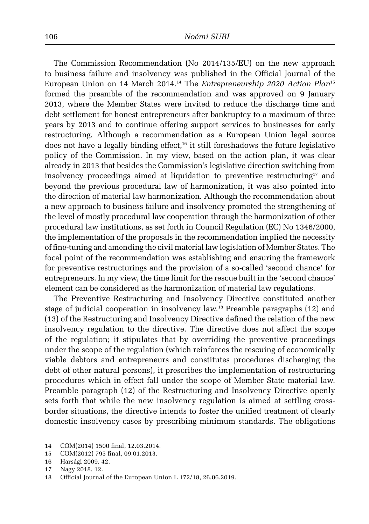The Commission Recommendation (No 2014/135/EU) on the new approach to business failure and insolvency was published in the Official Journal of the European Union on 14 March 2014. 14 The *Entrepreneurship 2020 Action Plan*<sup>15</sup> formed the preamble of the recommendation and was approved on 9 January 2013, where the Member States were invited to reduce the discharge time and debt settlement for honest entrepreneurs after bankruptcy to a maximum of three years by 2013 and to continue offering support services to businesses for early restructuring. Although a recommendation as a European Union legal source does not have a legally binding effect,<sup>16</sup> it still foreshadows the future legislative policy of the Commission. In my view, based on the action plan, it was clear already in 2013 that besides the Commission's legislative direction switching from insolvency proceedings aimed at liquidation to preventive restructuring<sup>17</sup> and beyond the previous procedural law of harmonization, it was also pointed into the direction of material law harmonization. Although the recommendation about a new approach to business failure and insolvency promoted the strengthening of the level of mostly procedural law cooperation through the harmonization of other procedural law institutions, as set forth in Council Regulation (EC) No 1346/2000, the implementation of the proposals in the recommendation implied the necessity of fine-tuning and amending the civil material law legislation of Member States. The focal point of the recommendation was establishing and ensuring the framework for preventive restructurings and the provision of a so-called 'second chance' for entrepreneurs. In my view, the time limit for the rescue built in the 'second chance' element can be considered as the harmonization of material law regulations.

The Preventive Restructuring and Insolvency Directive constituted another stage of judicial cooperation in insolvency law. 18 Preamble paragraphs (12) and (13) of the Restructuring and Insolvency Directive defined the relation of the new insolvency regulation to the directive. The directive does not affect the scope of the regulation; it stipulates that by overriding the preventive proceedings under the scope of the regulation (which reinforces the rescuing of economically viable debtors and entrepreneurs and constitutes procedures discharging the debt of other natural persons), it prescribes the implementation of restructuring procedures which in effect fall under the scope of Member State material law. Preamble paragraph (12) of the Restructuring and Insolvency Directive openly sets forth that while the new insolvency regulation is aimed at settling crossborder situations, the directive intends to foster the unified treatment of clearly domestic insolvency cases by prescribing minimum standards. The obligations

<sup>14</sup> COM(2014) 1500 final, 12.03.2014.

<sup>15</sup> COM(2012) 795 final, 09.01.2013.

<sup>16</sup> Harsági 2009. 42.

<sup>17</sup> Nagy 2018. 12.

<sup>18</sup> Official Journal of the European Union L 172/18, 26.06.2019.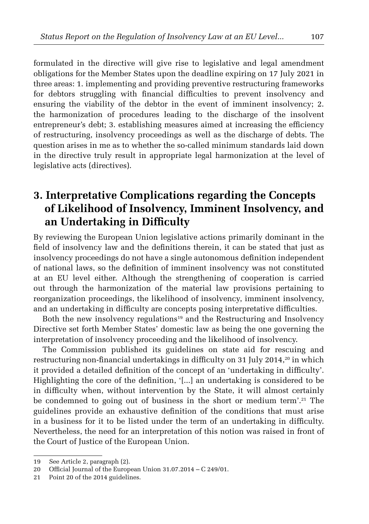formulated in the directive will give rise to legislative and legal amendment obligations for the Member States upon the deadline expiring on 17 July 2021 in three areas: 1. implementing and providing preventive restructuring frameworks for debtors struggling with financial difficulties to prevent insolvency and ensuring the viability of the debtor in the event of imminent insolvency; 2. the harmonization of procedures leading to the discharge of the insolvent entrepreneur's debt; 3. establishing measures aimed at increasing the efficiency of restructuring, insolvency proceedings as well as the discharge of debts. The question arises in me as to whether the so-called minimum standards laid down in the directive truly result in appropriate legal harmonization at the level of legislative acts (directives).

## **3. Interpretative Complications regarding the Concepts of Likelihood of Insolvency, Imminent Insolvency, and an Undertaking in Difficulty**

By reviewing the European Union legislative actions primarily dominant in the field of insolvency law and the definitions therein, it can be stated that just as insolvency proceedings do not have a single autonomous definition independent of national laws, so the definition of imminent insolvency was not constituted at an EU level either. Although the strengthening of cooperation is carried out through the harmonization of the material law provisions pertaining to reorganization proceedings, the likelihood of insolvency, imminent insolvency, and an undertaking in difficulty are concepts posing interpretative difficulties.

Both the new insolvency regulations<sup>19</sup> and the Restructuring and Insolvency Directive set forth Member States' domestic law as being the one governing the interpretation of insolvency proceeding and the likelihood of insolvency.

The Commission published its guidelines on state aid for rescuing and restructuring non-financial undertakings in difficulty on 31 July 2014,<sup>20</sup> in which it provided a detailed definition of the concept of an 'undertaking in difficulty'. Highlighting the core of the definition, '[...] an undertaking is considered to be in difficulty when, without intervention by the State, it will almost certainly be condemned to going out of business in the short or medium term'. 21 The guidelines provide an exhaustive definition of the conditions that must arise in a business for it to be listed under the term of an undertaking in difficulty. Nevertheless, the need for an interpretation of this notion was raised in front of the Court of Justice of the European Union.

<sup>19</sup> See Article 2, paragraph (2).

<sup>20</sup> Official Journal of the European Union 31.07.2014 – C 249/01.

<sup>21</sup> Point 20 of the 2014 guidelines.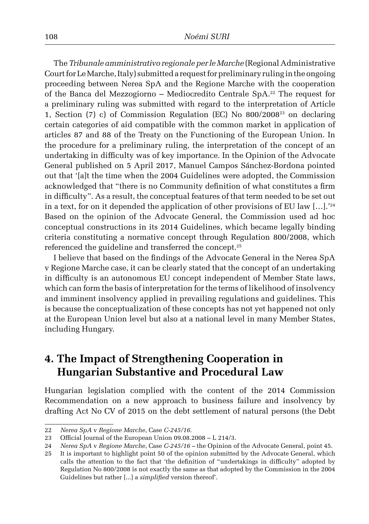The *Tribunale amministrativo regionale per le Marche* (Regional Administrative Court for Le Marche, Italy) submitted a request for preliminary ruling in the ongoing proceeding between Nerea SpA and the Regione Marche with the cooperation of the Banca del Mezzogiorno – Mediocredito Centrale SpA. 22 The request for a preliminary ruling was submitted with regard to the interpretation of Article 1, Section (7) c) of Commission Regulation (EC) No 800/200823 on declaring certain categories of aid compatible with the common market in application of articles 87 and 88 of the Treaty on the Functioning of the European Union. In the procedure for a preliminary ruling, the interpretation of the concept of an undertaking in difficulty was of key importance. In the Opinion of the Advocate General published on 5 April 2017, Manuel Campos Sánchez-Bordona pointed out that '[a]t the time when the 2004 Guidelines were adopted, the Commission acknowledged that "there is no Community definition of what constitutes a firm in difficulty". As a result, the conceptual features of that term needed to be set out in a text, for on it depended the application of other provisions of EU law […].'<sup>24</sup> Based on the opinion of the Advocate General, the Commission used ad hoc conceptual constructions in its 2014 Guidelines, which became legally binding criteria constituting a normative concept through Regulation 800/2008, which referenced the guideline and transferred the concept. 25

I believe that based on the findings of the Advocate General in the Nerea SpA v Regione Marche case, it can be clearly stated that the concept of an undertaking in difficulty is an autonomous EU concept independent of Member State laws, which can form the basis of interpretation for the terms of likelihood of insolvency and imminent insolvency applied in prevailing regulations and guidelines. This is because the conceptualization of these concepts has not yet happened not only at the European Union level but also at a national level in many Member States, including Hungary.

### **4. The Impact of Strengthening Cooperation in Hungarian Substantive and Procedural Law**

Hungarian legislation complied with the content of the 2014 Commission Recommendation on a new approach to business failure and insolvency by drafting Act No CV of 2015 on the debt settlement of natural persons (the Debt

<sup>22</sup> *Nerea SpA* v *Regione Marche*, Case *C*-*245/16.*

<sup>23</sup> Official Journal of the European Union 09.08.2008 – L 214/3.

<sup>24</sup> *Nerea SpA* v *Regione Marche*, Case *C*-*245/16 –* the Opinion of the Advocate General, point 45.

<sup>25</sup> It is important to highlight point 50 of the opinion submitted by the Advocate General, which calls the attention to the fact that 'the definition of "undertakings in difficulty" adopted by Regulation No 800/2008 is not exactly the same as that adopted by the Commission in the 2004 Guidelines but rather [...] a *simplified* version thereof'.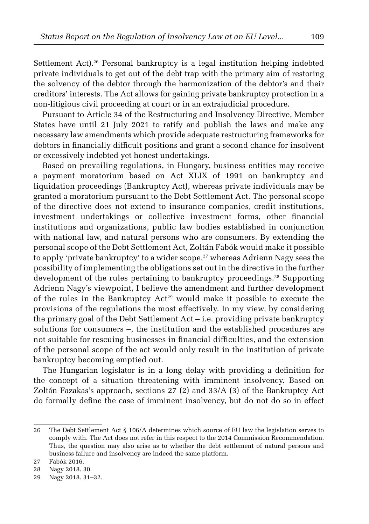Settlement Act). 26 Personal bankruptcy is a legal institution helping indebted private individuals to get out of the debt trap with the primary aim of restoring the solvency of the debtor through the harmonization of the debtor's and their creditors' interests. The Act allows for gaining private bankruptcy protection in a non-litigious civil proceeding at court or in an extrajudicial procedure.

Pursuant to Article 34 of the Restructuring and Insolvency Directive, Member States have until 21 July 2021 to ratify and publish the laws and make any necessary law amendments which provide adequate restructuring frameworks for debtors in financially difficult positions and grant a second chance for insolvent or excessively indebted yet honest undertakings.

Based on prevailing regulations, in Hungary, business entities may receive a payment moratorium based on Act XLIX of 1991 on bankruptcy and liquidation proceedings (Bankruptcy Act), whereas private individuals may be granted a moratorium pursuant to the Debt Settlement Act. The personal scope of the directive does not extend to insurance companies, credit institutions, investment undertakings or collective investment forms, other financial institutions and organizations, public law bodies established in conjunction with national law, and natural persons who are consumers. By extending the personal scope of the Debt Settlement Act, Zoltán Fabók would make it possible to apply 'private bankruptcy' to a wider scope,<sup>27</sup> whereas Adrienn Nagy sees the possibility of implementing the obligations set out in the directive in the further development of the rules pertaining to bankruptcy proceedings. 28 Supporting Adrienn Nagy's viewpoint, I believe the amendment and further development of the rules in the Bankruptcy Act<sup>29</sup> would make it possible to execute the provisions of the regulations the most effectively. In my view, by considering the primary goal of the Debt Settlement Act – i.e. providing private bankruptcy solutions for consumers –, the institution and the established procedures are not suitable for rescuing businesses in financial difficulties, and the extension of the personal scope of the act would only result in the institution of private bankruptcy becoming emptied out.

The Hungarian legislator is in a long delay with providing a definition for the concept of a situation threatening with imminent insolvency. Based on Zoltán Fazakas's approach, sections 27 (2) and 33/A (3) of the Bankruptcy Act do formally define the case of imminent insolvency, but do not do so in effect

<sup>26</sup> The Debt Settlement Act § 106/A determines which source of EU law the legislation serves to comply with. The Act does not refer in this respect to the 2014 Commission Recommendation. Thus, the question may also arise as to whether the debt settlement of natural persons and business failure and insolvency are indeed the same platform.

<sup>27</sup> Fabók 2016.

<sup>28</sup> Nagy 2018. 30.

<sup>29</sup> Nagy 2018. 31–32.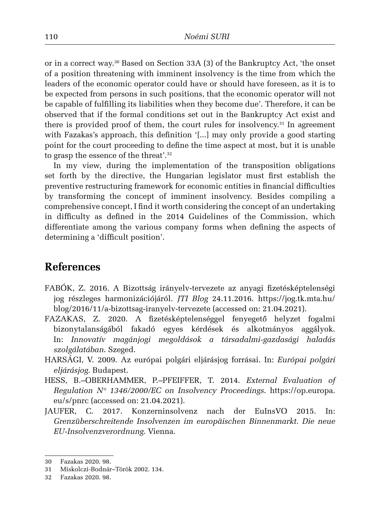or in a correct way. <sup>30</sup> Based on Section 33A (3) of the Bankruptcy Act, 'the onset of a position threatening with imminent insolvency is the time from which the leaders of the economic operator could have or should have foreseen, as it is to be expected from persons in such positions, that the economic operator will not be capable of fulfilling its liabilities when they become due'. Therefore, it can be observed that if the formal conditions set out in the Bankruptcy Act exist and there is provided proof of them, the court rules for insolvency. 31 In agreement with Fazakas's approach, this definition '[...] may only provide a good starting point for the court proceeding to define the time aspect at most, but it is unable to grasp the essence of the threat'. 32

In my view, during the implementation of the transposition obligations set forth by the directive, the Hungarian legislator must first establish the preventive restructuring framework for economic entities in financial difficulties by transforming the concept of imminent insolvency. Besides compiling a comprehensive concept, I find it worth considering the concept of an undertaking in difficulty as defined in the 2014 Guidelines of the Commission, which differentiate among the various company forms when defining the aspects of determining a 'difficult position'.

#### **References**

- FABÓK, Z. 2016. A Bizottság irányelv-tervezete az anyagi fizetésképtelenségi jog részleges harmonizációjáról. *JTI Blog* 24.11.2016. https://jog.tk.mta.hu/ blog/2016/11/a-bizottsag-iranyelv-tervezete (accessed on: 21.04.2021).
- FAZAKAS, Z. 2020. A fizetésképtelenséggel fenyegető helyzet fogalmi bizonytalanságából fakadó egyes kérdések és alkotmányos aggályok. In: *Innovatív magánjogi megoldások a társadalmi-gazdasági haladás szolgálatában*. Szeged.
- HARSÁGI, V. 2009. Az európai polgári eljárásjog forrásai. In: *Európai polgári eljárásjog*. Budapest.
- HESS, B.–OBERHAMMER, P.–PFEIFFER, T. 2014. *External Evaluation of Regulation N° 1346/2000/EC on Insolvency Proceedings*. https://op.europa. eu/s/pnrc (accessed on: 21.04.2021).
- JAUFER, C. 2017. Konzerninsolvenz nach der EuInsVO 2015. In: *Grenzüberschreitende Insolvenzen im europäischen Binnenmarkt. Die neue EU-Insolvenzverordnung*. Vienna.

<sup>30</sup> Fazakas 2020. 98.

<sup>31</sup> Miskolczi-Bodnár–Török 2002. 134.

<sup>32</sup> Fazakas 2020. 98.